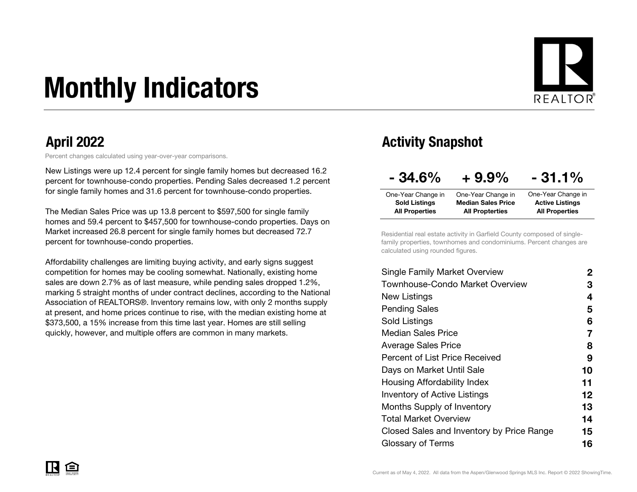# Monthly Indicators



Percent changes calculated using year-over-year comparisons.

New Listings were up 12.4 percent for single family homes but decreased 16.2 percent for townhouse-condo properties. Pending Sales decreased 1.2 percent for single family homes and 31.6 percent for townhouse-condo properties.

The Median Sales Price was up 13.8 percent to \$597,500 for single family homes and 59.4 percent to \$457,500 for townhouse-condo properties. Days on Market increased 26.8 percent for single family homes but decreased 72.7 percent for townhouse-condo properties.

Affordability challenges are limiting buying activity, and early signs suggest competition for homes may be cooling somewhat. Nationally, existing home sales are down 2.7% as of last measure, while pending sales dropped 1.2%, marking 5 straight months of under contract declines, according to the National Association of REALTORS®. Inventory remains low, with only 2 months supply at present, and home prices continue to rise, with the median existing home at \$373,500, a 15% increase from this time last year. Homes are still selling quickly, however, and multiple offers are common in many markets.

### April 2022 **Activity Snapshot**

| $-34.6%$              | $+9.9\%$                  | $-31.1%$               |
|-----------------------|---------------------------|------------------------|
| One-Year Change in    | One-Year Change in        | One-Year Change in     |
| <b>Sold Listings</b>  | <b>Median Sales Price</b> | <b>Active Listings</b> |
| <b>All Properties</b> | <b>All Propterties</b>    | <b>All Properties</b>  |

Residential real estate activity in Garfield County composed of singlefamily properties, townhomes and condominiums. Percent changes are calculated using rounded figures.

| Single Family Market Overview             | 2  |
|-------------------------------------------|----|
| Townhouse-Condo Market Overview           | З  |
| New Listings                              | 4  |
| <b>Pending Sales</b>                      | 5  |
| Sold Listings                             | 6  |
| <b>Median Sales Price</b>                 | 7  |
| Average Sales Price                       | 8  |
| <b>Percent of List Price Received</b>     | 9  |
| Days on Market Until Sale                 | 10 |
| Housing Affordability Index               | 11 |
| <b>Inventory of Active Listings</b>       | 12 |
| <b>Months Supply of Inventory</b>         | 13 |
| Total Market Overview                     | 14 |
| Closed Sales and Inventory by Price Range | 15 |
| Glossary of Terms                         | 16 |
|                                           |    |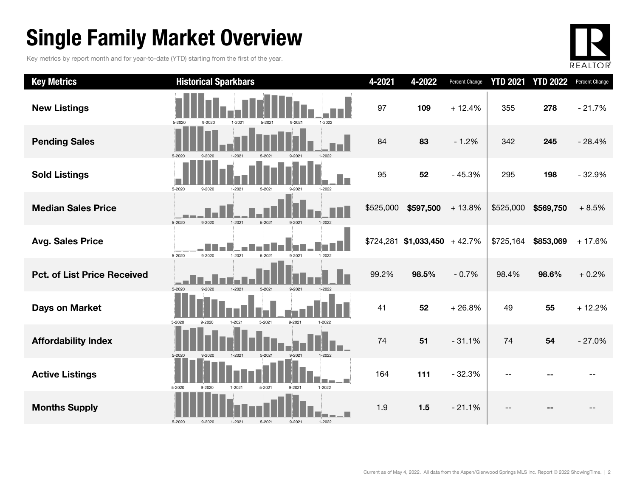### Single Family Market Overview

Key metrics by report month and for year-to-date (YTD) starting from the first of the year.



| <b>Key Metrics</b>                 | <b>Historical Sparkbars</b>                                              | 4-2021    | 4-2022                         | <b>Percent Change</b> | <b>YTD 2021</b> | <b>YTD 2022</b> | Percent Change |
|------------------------------------|--------------------------------------------------------------------------|-----------|--------------------------------|-----------------------|-----------------|-----------------|----------------|
| <b>New Listings</b>                | 1-2021<br>5-2020<br>9-2020<br>5-2021<br>$9 - 2021$<br>1-2022             | 97        | 109                            | $+12.4%$              | 355             | 278             | $-21.7%$       |
| <b>Pending Sales</b>               | 5-2020<br>$1 - 2021$<br>$1 - 2022$<br>$5-202$                            | 84        | 83                             | $-1.2%$               | 342             | 245             | $-28.4%$       |
| <b>Sold Listings</b>               | 5-2020<br>9-2020<br>1-2021<br>5-2021<br>9-2021<br>1-2022                 | 95        | 52                             | $-45.3%$              | 295             | 198             | $-32.9%$       |
| <b>Median Sales Price</b>          | 5-2020<br>9-2020<br>$5 - 2021$<br>$9 - 2021$<br>$1 - 2022$<br>$1 - 2021$ | \$525,000 | \$597,500                      | $+13.8%$              | \$525,000       | \$569,750       | $+8.5%$        |
| <b>Avg. Sales Price</b>            | $1 - 2021$<br>9-2020<br>5-2020<br>$5 - 2021$<br>9-2021<br>1-2022         |           | $$724,281$ \$1,033,450 + 42.7% |                       | \$725,164       | \$853,069       | $+17.6%$       |
| <b>Pct. of List Price Received</b> | 5-2020<br>9-2020<br>$1 - 2021$<br>$5 - 2021$<br>9-2021<br>$1 - 2022$     | 99.2%     | 98.5%                          | $-0.7%$               | 98.4%           | 98.6%           | $+0.2%$        |
| <b>Days on Market</b>              | 9-2021<br>5-2020<br>$1 - 2021$<br>5-2021<br>9-2020<br>1-2022             | 41        | 52                             | $+26.8%$              | 49              | 55              | $+12.2%$       |
| <b>Affordability Index</b>         | 1-2022<br>5-2020<br>$1 - 2021$<br>5-2021<br>9-2021<br>$9 - 2020$         | 74        | 51                             | $-31.1%$              | 74              | 54              | $-27.0%$       |
| <b>Active Listings</b>             | 5-2020<br>1-2022<br>$1 - 2021$<br>5-2021<br>$9 - 2020$<br>9-2021         | 164       | 111                            | $-32.3%$              |                 |                 |                |
| <b>Months Supply</b>               | 5-2020<br>$5 - 2021$<br>9-2021<br>$1 - 2022$<br>9-2020<br>1-2021         | 1.9       | 1.5                            | $-21.1%$              |                 |                 |                |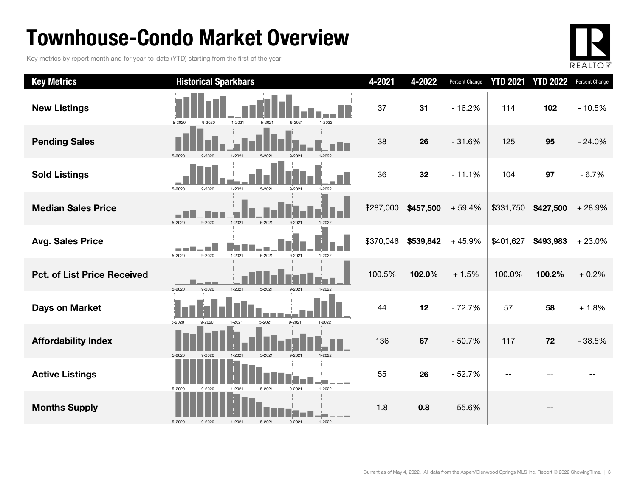### Townhouse-Condo Market Overview

Key metrics by report month and for year-to-date (YTD) starting from the first of the year.



| <b>Key Metrics</b>                 | <b>Historical Sparkbars</b>                                                              | 4-2021    | 4-2022    | Percent Change | <b>YTD 2021</b> | <b>YTD 2022</b> | Percent Change |
|------------------------------------|------------------------------------------------------------------------------------------|-----------|-----------|----------------|-----------------|-----------------|----------------|
| <b>New Listings</b>                | $1 - 2021$<br>1-2022<br>5-2020<br>$9 - 2020$<br>5-2021<br>9-2021                         | 37        | 31        | $-16.2%$       | 114             | 102             | $-10.5%$       |
| <b>Pending Sales</b>               | 5-2020                                                                                   | 38        | 26        | $-31.6%$       | 125             | 95              | $-24.0%$       |
| <b>Sold Listings</b>               | 5-2020<br>9-2020<br>$1 - 2021$<br>$5 - 2021$<br>$9 - 2021$<br>1-2022                     | 36        | 32        | $-11.1%$       | 104             | 97              | $-6.7%$        |
| <b>Median Sales Price</b>          | 5-2020<br>9-2020<br>1-2021                                                               | \$287,000 | \$457,500 | $+59.4%$       | \$331,750       | \$427,500       | $+28.9%$       |
| <b>Avg. Sales Price</b>            | <b>Contract Contract</b><br>5-2020<br>9-2020<br>$1 - 2021$<br>5-2021<br>9-2021<br>1-2022 | \$370,046 | \$539,842 | $+45.9%$       | \$401,627       | \$493,983       | $+23.0%$       |
| <b>Pct. of List Price Received</b> | 5-2020<br>$1 - 2021$<br>9-2020<br>5-2021<br>$9 - 202$                                    | 100.5%    | 102.0%    | $+1.5%$        | 100.0%          | 100.2%          | $+0.2%$        |
| <b>Days on Market</b>              | 9-2021<br>5-2021<br>1-2022<br>5-2020<br>$9 - 2020$<br>$1 - 2021$                         | 44        | 12        | $-72.7%$       | 57              | 58              | $+1.8%$        |
| <b>Affordability Index</b>         | $5 - 2021$<br>$9 - 2021$<br>5-2020<br>9-2020<br>$1 - 2021$<br>1-2022                     | 136       | 67        | $-50.7%$       | 117             | 72              | $-38.5%$       |
| <b>Active Listings</b>             | 9-2021<br>$1 - 2022$<br>5-2020<br>5-2021<br>$1 - 2021$<br>$9 - 2020$                     | 55        | 26        | $-52.7%$       |                 |                 |                |
| <b>Months Supply</b>               | $9 - 2021$<br>$1 - 2022$<br>5-2020<br>9-2020<br>$1 - 2021$<br>$5 - 2021$                 | 1.8       | 0.8       | $-55.6%$       | --              |                 |                |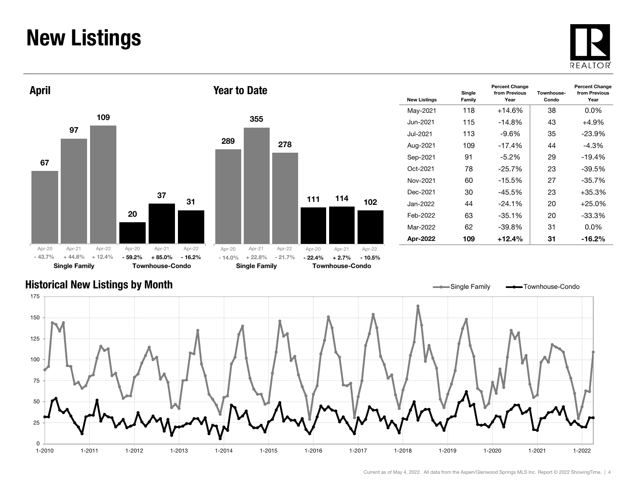### New Listings







| <b>New Listings</b> | Single<br>Family | <b>Percent Change</b><br>from Previous<br>Year | Townhouse-<br>Condo | <b>Percent Change</b><br>from Previous<br>Year |
|---------------------|------------------|------------------------------------------------|---------------------|------------------------------------------------|
| May-2021            | 118              | $+14.6%$                                       | 38                  | $0.0\%$                                        |
| Jun-2021.           | 115              | $-14.8%$                                       | 43                  | $+4.9%$                                        |
| Jul-2021.           | 113              | -9.6%                                          | 35                  | $-23.9\%$                                      |
| Aug-2021            | 109              | $-17.4%$                                       | 44                  | $-4.3%$                                        |
| Sep-2021            | 91               | $-5.2\%$                                       | 29                  | $-19.4%$                                       |
| Oct-2021            | 78               | $-25.7%$                                       | 23                  | $-39.5%$                                       |
| Nov-2021            | 60               | $-15.5\%$                                      | 27                  | $-35.7%$                                       |
| Dec-2021            | 30               | $-45.5%$                                       | 23                  | +35.3%                                         |
| Jan-2022.           | 44               | $-24.1%$                                       | 20                  | $+25.0\%$                                      |
| Feb-2022            | 63               | $-35.1%$                                       | 20                  | $-33.3\%$                                      |
| Mar-2022            | 62               | -39.8%                                         | 31                  | $0.0\%$                                        |
| Apr-2022            | 109              | $+12.4%$                                       | 31                  | $-16.2%$                                       |

#### Historical New Listings by Month

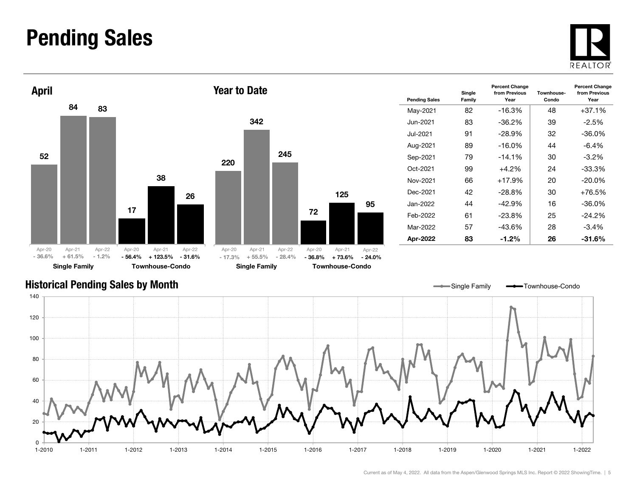### Pending Sales







| <b>Pending Sales</b> | Single<br>Family | <b>Percent Change</b><br>from Previous<br>Year | Townhouse-<br>Condo | <b>Percent Change</b><br>from Previous<br>Year |
|----------------------|------------------|------------------------------------------------|---------------------|------------------------------------------------|
| May-2021             | 82               | $-16.3%$                                       | 48                  | $+37.1\%$                                      |
| Jun-2021.            | 83               | $-36.2\%$                                      | 39                  | $-2.5%$                                        |
| Jul-2021.            | 91               | $-28.9%$                                       | 32                  | -36.0%                                         |
| Aug-2021             | 89               | $-16.0\%$                                      | 44                  | $-6.4\%$                                       |
| Sep-2021             | 79               | $-14.1%$                                       | 30                  | $-3.2\%$                                       |
| Oct-2021             | 99               | $+4.2%$                                        | 24                  | $-33.3%$                                       |
| Nov-2021             | 66               | +17.9%                                         | 20                  | $-20.0\%$                                      |
| Dec-2021             | 42               | $-28.8%$                                       | 30                  | $+76.5%$                                       |
| Jan-2022.            | 44               | $-42.9\%$                                      | 16                  | $-36.0\%$                                      |
| Feb-2022             | 61               | -23.8%                                         | 25                  | $-24.2%$                                       |
| Mar-2022             | 57               | $-43.6%$                                       | 28                  | $-3.4%$                                        |
| Apr-2022             | 83               | $-1.2\%$                                       | 26                  | $-31.6\%$                                      |

Single Family **-** Townhouse-Condo

#### Historical Pending Sales by Month

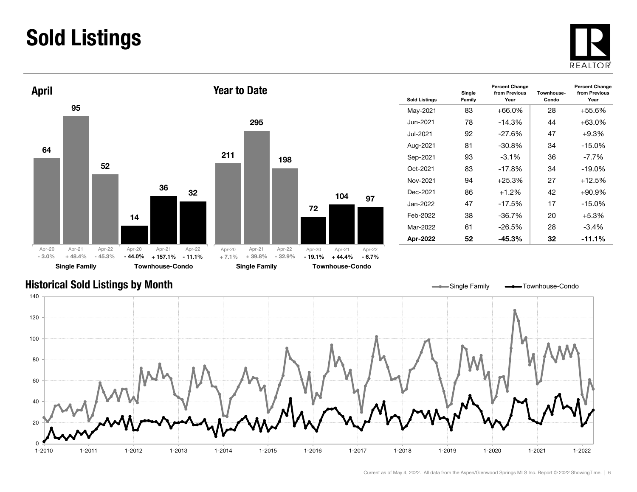### Sold Listings





| <b>Sold Listings</b> | Single<br>Family | <b>Percent Change</b><br>from Previous<br>Year | Townhouse-<br>Condo | <b>Percent Change</b><br>from Previous<br>Year |
|----------------------|------------------|------------------------------------------------|---------------------|------------------------------------------------|
| May-2021             | 83               | $+66.0%$                                       | 28                  | +55.6%                                         |
| Jun-2021.            | 78               | $-14.3\%$                                      | 44                  | $+63.0%$                                       |
| Jul-2021.            | 92               | $-27.6%$                                       | 47                  | $+9.3%$                                        |
| Aug-2021             | 81               | $-30.8%$                                       | 34                  | $-15.0%$                                       |
| Sep-2021             | 93               | $-3.1\%$                                       | 36                  | -7.7%                                          |
| Oct-2021             | 83               | $-17.8%$                                       | 34                  | $-19.0\%$                                      |
| Nov-2021             | 94               | $+25.3%$                                       | 27                  | $+12.5%$                                       |
| Dec-2021             | 86               | $+1.2%$                                        | 42                  | $+90.9%$                                       |
| Jan-2022             | 47               | $-17.5%$                                       | 17                  | $-15.0%$                                       |
| Feb-2022             | 38               | -36.7%                                         | 20                  | $+5.3%$                                        |
| Mar-2022             | 61               | $-26.5%$                                       | 28                  | $-3.4\%$                                       |
| Apr-2022             | 52               | -45.3%                                         | 32                  | $-11.1\%$                                      |

#### Historical Sold Listings by Month



97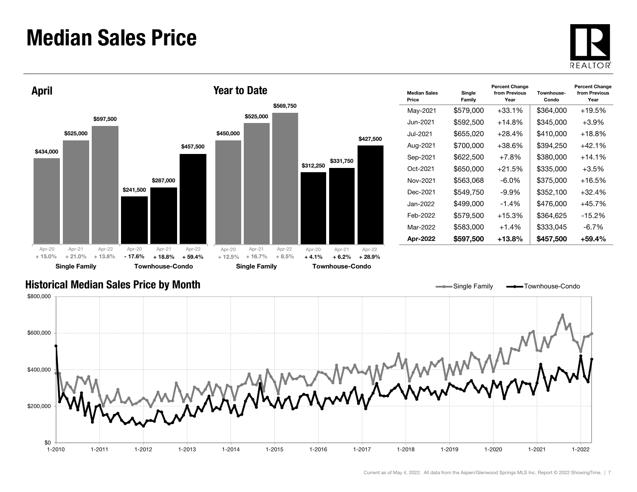### Median Sales Price





| <b>Median Sales</b><br>Price | Single<br>Family | <b>Percent Change</b><br>from Previous<br>Year | Townhouse-<br>Condo | <b>Percent Change</b><br>from Previous<br>Year |
|------------------------------|------------------|------------------------------------------------|---------------------|------------------------------------------------|
| May-2021                     | \$579,000        | $+33.1%$                                       | \$364,000           | $+19.5%$                                       |
| Jun-2021.                    | \$592,500        | +14.8%                                         | \$345,000           | $+3.9\%$                                       |
| Jul-2021.                    | \$655,020        | $+28.4%$                                       | \$410,000           | $+18.8\%$                                      |
| Aug-2021                     | \$700,000        | +38.6%                                         | \$394,250           | $+42.1%$                                       |
| Sep-2021                     | \$622,500        | $+7.8%$                                        | \$380,000           | $+14.1%$                                       |
| Oct-2021                     | \$650,000        | $+21.5%$                                       | \$335,000           | $+3.5\%$                                       |
| Nov-2021                     | \$563,068        | -6.0%                                          | \$375,000           | $+16.5%$                                       |
| Dec-2021                     | \$549.750        | -9.9%                                          | \$352,100           | $+32.4%$                                       |
| Jan-2022.                    | \$499,000        | $-1.4\%$                                       | \$476.000           | $+45.7%$                                       |
| Feb-2022                     | \$579,500        | $+15.3%$                                       | \$364.625           | $-15.2%$                                       |
| Mar-2022                     | \$583,000        | $+1.4%$                                        | \$333,045           | $-6.7\%$                                       |
| Apr-2022                     | \$597,500        | +13.8%                                         | \$457,500           | +59.4%                                         |

Single Family **-** Townhouse-Condo

#### Historical Median Sales Price by Month

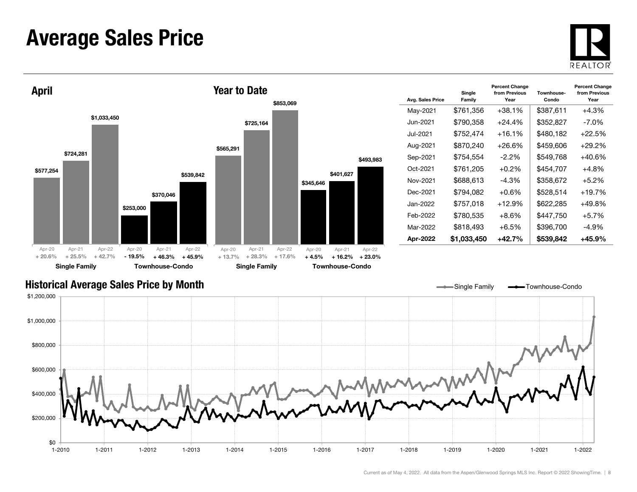### Average Sales Price





| Avg. Sales Price | Single<br>Family | <b>Percent Change</b><br>from Previous<br>Year | Townhouse-<br>Condo | <b>Percent Change</b><br>from Previous<br>Year |
|------------------|------------------|------------------------------------------------|---------------------|------------------------------------------------|
| May-2021         | \$761,356        | $+38.1%$                                       | \$387,611           | $+4.3%$                                        |
| Jun-2021.        | \$790,358        | $+24.4%$                                       | \$352,827           | -7.0%                                          |
| Jul-2021.        | \$752.474        | $+16.1%$                                       | \$480.182           | $+22.5%$                                       |
| Aug-2021         | \$870,240        | $+26.6%$                                       | \$459.606           | $+29.2%$                                       |
| Sep-2021         | \$754,554        | $-2.2\%$                                       | \$549,768           | $+40.6%$                                       |
| Oct-2021         | \$761,205        | $+0.2\%$                                       | \$454.707           | $+4.8\%$                                       |
| Nov-2021         | \$688,613        | $-4.3%$                                        | \$358,672           | $+5.2%$                                        |
| Dec-2021         | \$794.082        | +0.6%                                          | \$528,514           | $+19.7%$                                       |
| Jan-2022         | \$757,018        | $+12.9%$                                       | \$622,285           | $+49.8%$                                       |
| Feb-2022         | \$780.535        | $+8.6%$                                        | \$447,750           | $+5.7%$                                        |
| Mar-2022         | \$818,493        | +6.5%                                          | \$396,700           | -4.9%                                          |
| Apr-2022         | \$1,033,450      | $+42.7%$                                       | \$539,842           | $+45.9%$                                       |

#### Historical Average Sales Price by Month

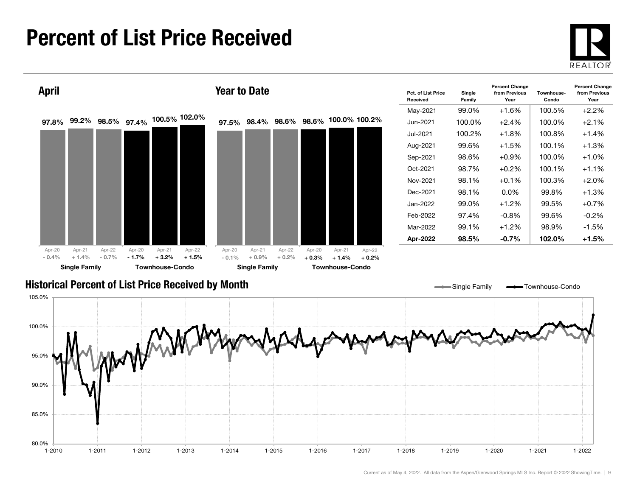### Percent of List Price Received





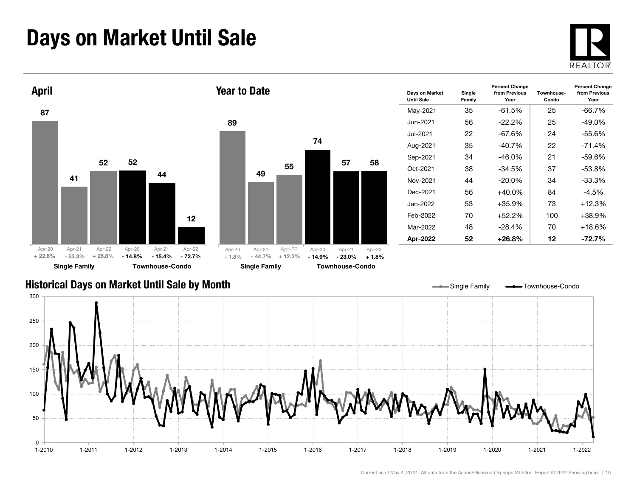### Days on Market Until Sale







| Days on Market<br><b>Until Sale</b> | Single<br>Family | <b>Percent Change</b><br>from Previous<br>Year | Townhouse-<br>Condo | <b>Percent Change</b><br>from Previous<br>Year |
|-------------------------------------|------------------|------------------------------------------------|---------------------|------------------------------------------------|
| May-2021                            | 35               | -61.5%                                         | 25                  | $-66.7\%$                                      |
| Jun-2021.                           | 56               | $-22.2\%$                                      | 25                  | -49.0%                                         |
| Jul-2021                            | 22               | -67.6%                                         | 24                  | $-55.6%$                                       |
| Aug-2021                            | 35               | $-40.7%$                                       | 22                  | $-71.4%$                                       |
| Sep-2021                            | 34               | -46.0%                                         | 21                  | $-59.6%$                                       |
| Oct-2021                            | 38               | $-34.5%$                                       | 37                  | $-53.8%$                                       |
| Nov-2021                            | 44               | $-20.0\%$                                      | 34                  | $-33.3%$                                       |
| Dec-2021                            | 56               | $+40.0\%$                                      | 84                  | $-4.5%$                                        |
| Jan-2022.                           | 53               | +35.9%                                         | 73                  | $+12.3%$                                       |
| Feb-2022                            | 70               | $+52.2%$                                       | 100                 | +38.9%                                         |
| Mar-2022                            | 48               | $-28.4%$                                       | 70                  | +18.6%                                         |
| Apr-2022                            | 52               | $+26.8%$                                       | 12                  | -72.7%                                         |

#### Historical Days on Market Until Sale by Month

Single Family **-** Townhouse-Condo

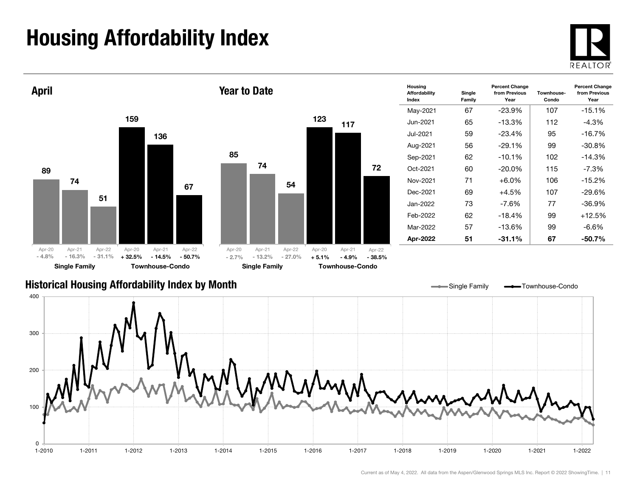## Housing Affordability Index



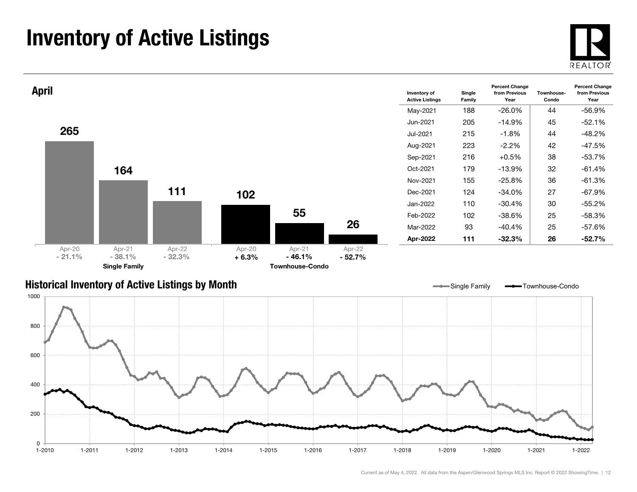### Inventory of Active Listings



1-2022



#### Historical Inventory of Active Listings by Month

0

200

400

600

800

1000



1-2010 1-2011 1-2012 1-2013 1-2014 1-2015 1-2016 1-2017 1-2018 1-2019 1-2020 1-2021 1-2022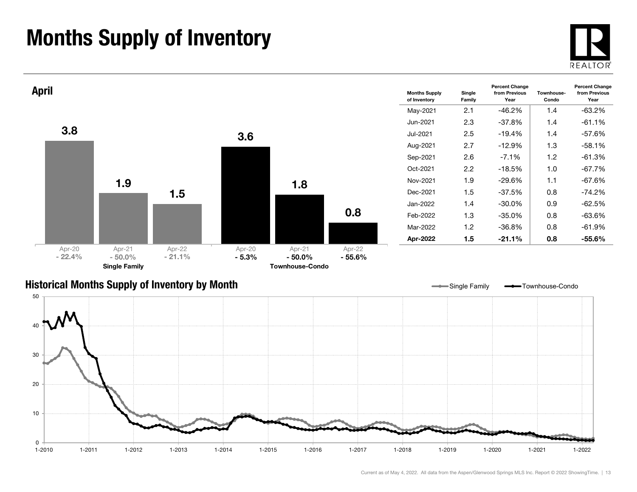### Months Supply of Inventory





#### Historical Months Supply of Inventory by Month



Single Family **- Townhouse-Condo**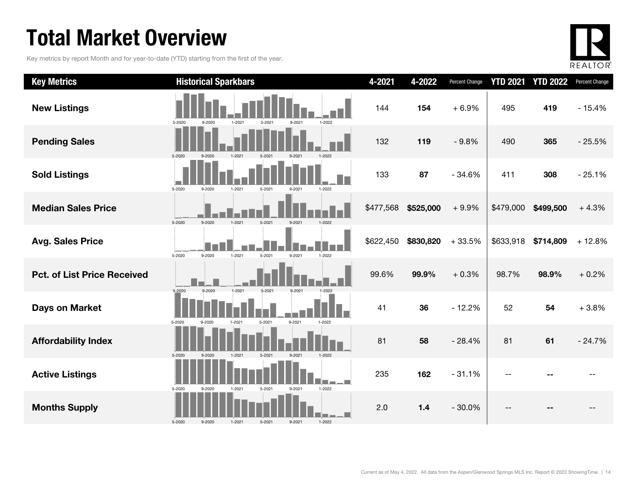### Total Market Overview

Key metrics by report Month and for year-to-date (YTD) starting from the first of the year.



| <b>Key Metrics</b>                 | <b>Historical Sparkbars</b>                                              | 4-2021    | 4-2022    | Percent Change | <b>YTD 2021</b> | <b>YTD 2022</b> | Percent Change |
|------------------------------------|--------------------------------------------------------------------------|-----------|-----------|----------------|-----------------|-----------------|----------------|
| <b>New Listings</b>                | 9-2021<br>1-2022<br>5-2020<br>9-2020<br>1-2021<br>$5 - 2021$             | 144       | 154       | $+6.9%$        | 495             | 419             | $-15.4%$       |
| <b>Pending Sales</b>               | 5-2020<br>$1 - 2021$<br>$9 - 2021$<br>1-2022<br>$5 - 2021$               | 132       | 119       | $-9.8%$        | 490             | 365             | $-25.5%$       |
| <b>Sold Listings</b>               | 5-2020<br>9-2020<br>$1 - 2021$<br>5-2021<br>9-2021<br>1-2022             | 133       | 87        | $-34.6%$       | 411             | 308             | $-25.1%$       |
| <b>Median Sales Price</b>          | 5-2020<br>$5 - 2021$<br>9-2020<br>$9 - 2021$<br>1-2022<br>1-2021         | \$477,568 | \$525,000 | $+9.9%$        | \$479,000       | \$499,500       | $+4.3%$        |
| <b>Avg. Sales Price</b>            | $1 - 2021$<br>9-2020<br>5-2021<br>9-2021<br>1-2022<br>5-2020             | \$622,450 | \$830,820 | $+33.5%$       | \$633,918       | \$714,809       | $+12.8%$       |
| <b>Pct. of List Price Received</b> | 5-2020<br>$9 - 2020$<br>$1 - 2021$<br>$5 - 2021$<br>$9 - 2021$<br>1-2022 | 99.6%     | 99.9%     | $+0.3%$        | 98.7%           | 98.9%           | $+0.2%$        |
| <b>Days on Market</b>              | 5-2020<br>5-2021<br>9-2021<br>9-2020<br>1-2021<br>1-2022                 | 41        | 36        | $-12.2%$       | 52              | 54              | $+3.8%$        |
| <b>Affordability Index</b>         | 5-2020<br>$5 - 2021$<br>9-2021<br>$1-2022$<br>9-2020<br>$1 - 2021$       | 81        | 58        | $-28.4%$       | 81              | 61              | $-24.7%$       |
| <b>Active Listings</b>             | 5-2020<br>$1 - 2021$<br>1-2022<br>9-2020<br>$5 - 2021$                   | 235       | 162       | $-31.1%$       |                 |                 |                |
| <b>Months Supply</b>               | 5-2020<br>9-2021<br>$1 - 2022$<br>9-2020<br>$1 - 2021$<br>5-2021         | 2.0       | $1.4$     | $-30.0%$       |                 |                 |                |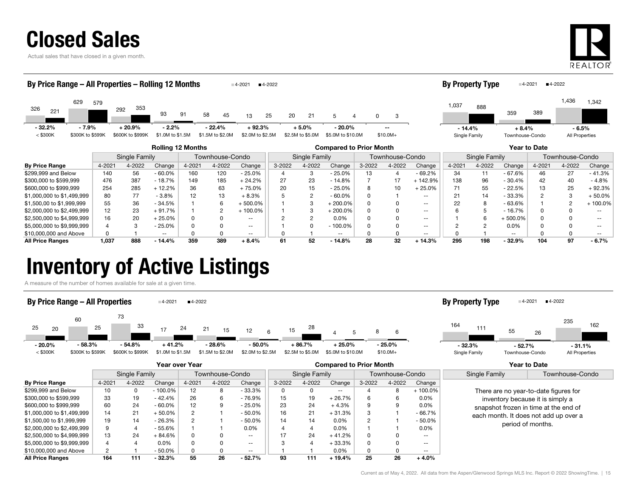### Closed Sales

Actual sales that have closed in a given month.



| By Price Range - All Properties - Rolling 12 Months |                  |                  |                          |        |                  | $-4 - 2021$      | $-4-2022$ |                  |                                |            |                 |                   | <b>By Property Type</b> |               |                 | $-4 - 2021$<br>■4-2022 |                 |          |
|-----------------------------------------------------|------------------|------------------|--------------------------|--------|------------------|------------------|-----------|------------------|--------------------------------|------------|-----------------|-------------------|-------------------------|---------------|-----------------|------------------------|-----------------|----------|
| 629<br>326<br>221                                   | 579              | 353<br>292       | 93                       | 91     | 58<br>45         | 13               | 20<br>25  | 21               | 5                              | n.         | 3               |                   | 1,037                   | 888           | 359             | 389                    | 1,436           | 1,342    |
| $-32.2%$                                            | $-7.9%$          | $+20.9%$         | $-2.2%$                  |        | $-22.4%$         | $+92.3%$         |           | $+5.0%$          | $-20.0\%$                      |            | --              |                   | $-14.4%$                |               | $+8.4%$         |                        | - 6.5%          |          |
| $<$ \$300K                                          | \$300K to \$599K | \$600K to \$999K | \$1.0M to \$1.5M         |        | \$1.5M to \$2.0M | \$2.0M to \$2.5M |           | \$2.5M to \$5.0M | \$5.0M to \$10.0M              |            | $$10.0M+$       |                   | Single Family           |               | Townhouse-Condo |                        | All Properties  |          |
|                                                     |                  |                  | <b>Rolling 12 Months</b> |        |                  |                  |           |                  | <b>Compared to Prior Month</b> |            |                 |                   |                         |               |                 | Year to Date           |                 |          |
|                                                     |                  | Single Family    |                          |        | Townhouse-Condo  |                  |           | Single Family    |                                |            | Townhouse-Condo |                   |                         | Single Family |                 |                        | Townhouse-Condo |          |
| <b>By Price Range</b>                               | 4-2021           | 4-2022           | Change                   | 4-2021 | 4-2022           | Change           | 3-2022    | 4-2022           | Change                         | $3 - 2022$ | 4-2022          | Change            | 4-2021                  | 4-2022        | Change          | 4-2021                 | 4-2022          | Change   |
| \$299,999 and Below                                 | 140              | 56               | $-60.0\%$                | 160    | 120              | $-25.0%$         |           | 3                | $-25.0%$                       | 13         | 4               | $-69.2%$          | 34                      | 11            | $-67.6%$        | 46                     | 27              | $-41.3%$ |
| \$300,000 to \$599.999                              | 476              | 387              | $-18.7%$                 | 149    | 185              | $+24.2%$         | 27        | 23               | $-14.8%$                       |            | 17              | $+142.9%$         | 138                     | 96            | $-30.4%$        | 42                     | 40              | - 4.8%   |
| \$600,000 to \$999.999                              | 254              | 285              | $+12.2%$                 | 36     | 63               | $+75.0%$         | 20        | 15               | $-25.0\%$                      | 8          | 10              | $+25.0%$          |                         | 55            | $-22.5%$        | 13                     | 25              | ⊦ 92.3%  |
| \$1,000,000 to \$1,499,999                          | 80               | 77               | $-3.8%$                  | 12     | 13               | $+8.3%$          |           |                  | $-60.0\%$                      | 0          |                 | $\qquad \qquad -$ |                         | 14            | $-33.3%$        | $\overline{c}$         |                 | $+50.0%$ |

\$1,500,00 to \$1,999,999 55 36 - 34.5% 1 6 + 500.0% 1 3 + 200.0% 0 0 -- 22 8 - 63.6% 1 2 + 100.0%  $$2,000,000 \text{ to } $2,499,999 \left| \quad 12 \qquad 23 \quad +91.7\% \left| \quad 1 \qquad 2 \quad +100.0\% \right| \quad 1 \qquad 3 \quad +200.0\% \left| \quad 0 \qquad 0 \qquad -1 \right| \quad 6 \qquad 5 \qquad -16.7\% \left| \quad 0 \qquad 0 \qquad -1 \right|$ \$2,500,000 to \$4,999,999 16 20 + 25.0% 0 0 -- 2 2 0.0% 0 0 -- 1 6 + 500.0% 0 0 -- \$5,000,000 to \$9,999,999 4 3 - 25.0% 0 0 -- 1 0 - 100.0% 0 0 -- 2 2 0.0% 0 0 -- \$10,000,000 and Above 0 1 -- 0 0 -- 0 1 -- 0 0 -- 0 1 -- 0 0 -- All Price Ranges 1,037 888 - 14.4% 359 389 + 8.4% 61 52 - 14.8% 28 32 + 14.3% 295 198 - 32.9% 104 97 - 6.7%

### Inventory of Active Listings

A measure of the number of homes available for sale at a given time.



|                            | Year over Year |        |            |                 |        |                          | <b>Compared to Prior Month</b> |        |                   |                 |        |               | <b>Year to Date</b>                                                                                                                                                              |                 |
|----------------------------|----------------|--------|------------|-----------------|--------|--------------------------|--------------------------------|--------|-------------------|-----------------|--------|---------------|----------------------------------------------------------------------------------------------------------------------------------------------------------------------------------|-----------------|
|                            | Single Family  |        |            | Townhouse-Condo |        |                          | Single Family                  |        |                   | Townhouse-Condo |        |               | Single Family                                                                                                                                                                    | Townhouse-Condo |
| <b>By Price Range</b>      | 4-2021         | 4-2022 | Change     | 4-2021          | 4-2022 | Change                   | 3-2022                         | 4-2022 | Change            | 3-2022          | 4-2022 | Change        |                                                                                                                                                                                  |                 |
| \$299.999 and Below        | 10             | 0      | $-100.0\%$ | 12              |        | $-33.3%$                 |                                |        | $\qquad \qquad -$ |                 |        | $+100.0\%$    | There are no year-to-date figures for<br>inventory because it is simply a<br>snapshot frozen in time at the end of<br>each month. It does not add up over a<br>period of months. |                 |
| \$300,000 to \$599,999     | 33             | 19     | - 42.4%    | 26              |        | $-76.9%$                 | 15                             | 19     | $+26.7%$          | 6               |        | $0.0\%$       |                                                                                                                                                                                  |                 |
| \$600,000 to \$999,999     | 60             | 24     | $-60.0\%$  | 12              | 9      | $-25.0%$                 | 23                             | 24     | $+4.3%$           | 9               |        | $0.0\%$       |                                                                                                                                                                                  |                 |
| \$1,000,000 to \$1,499,999 | 14             | 21     | ⊦ 50.0%    |                 |        | $-50.0%$                 | 16                             | 21     | $+31.3%$          | 3               |        | - 66.7%       |                                                                                                                                                                                  |                 |
| \$1,500,00 to \$1,999,999  | 19             | 14     | $-26.3%$   |                 |        | $-50.0%$                 | 14                             | 14     | 0.0%              |                 |        | $-50.0\%$     |                                                                                                                                                                                  |                 |
| \$2,000,000 to \$2,499,999 | 9              |        | $-55.6%$   |                 |        | $0.0\%$                  |                                |        | 0.0%              |                 |        | $0.0\%$       |                                                                                                                                                                                  |                 |
| \$2,500,000 to \$4,999,999 | 13             | 24     | 84.6%      | 0               |        | $- -$                    |                                | 24     | $+41.2%$          | 0               |        | $- -$         |                                                                                                                                                                                  |                 |
| \$5,000,000 to \$9,999,999 |                |        | $0.0\%$    |                 |        | $\overline{\phantom{a}}$ |                                |        | $+33.3%$          | 0               |        | $- -$         |                                                                                                                                                                                  |                 |
| \$10,000,000 and Above     | $\overline{2}$ |        | $-50.0\%$  |                 |        | $\overline{\phantom{a}}$ |                                |        | 0.0%              |                 |        | $\sim$ $\sim$ |                                                                                                                                                                                  |                 |
| <b>All Price Ranges</b>    | 164            | 111    | $-32.3%$   | 55              | 26     | $-52.7%$                 | 93                             | 111    | $+19.4%$          | 25              | 26     | $+4.0%$       |                                                                                                                                                                                  |                 |